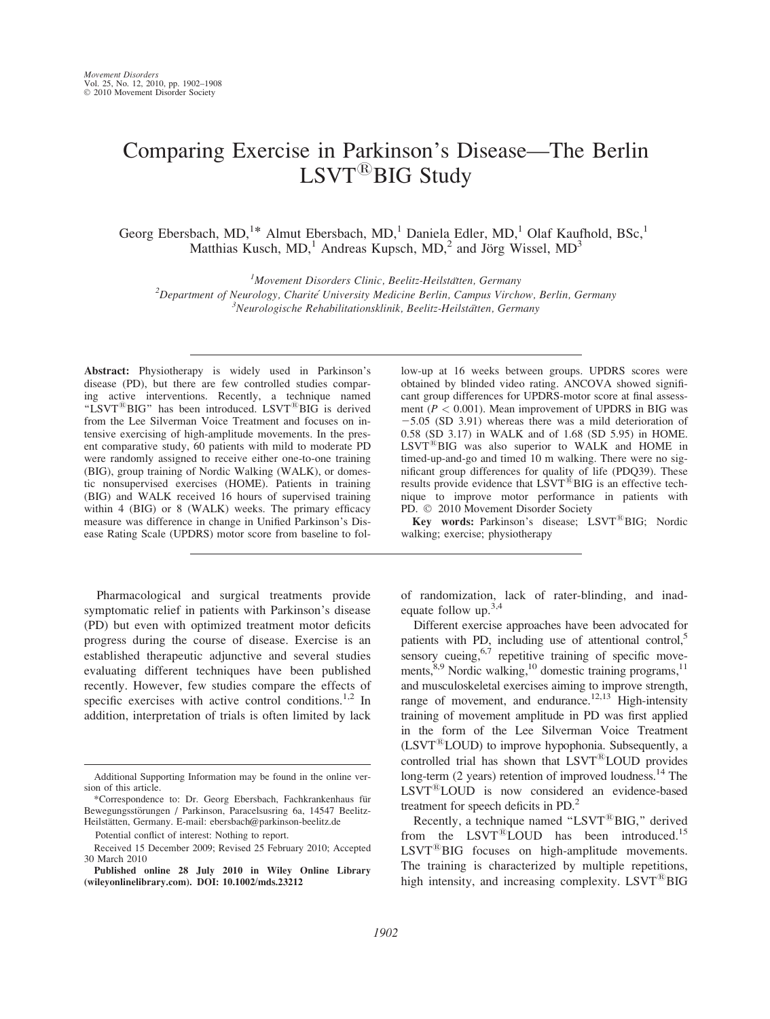# Comparing Exercise in Parkinson's Disease—The Berlin LSVT<sup>®</sup>BIG Study

Georg Ebersbach, MD,<sup>1\*</sup> Almut Ebersbach, MD,<sup>1</sup> Daniela Edler, MD,<sup>1</sup> Olaf Kaufhold, BSc,<sup>1</sup> Matthias Kusch, MD,<sup>1</sup> Andreas Kupsch, MD,<sup>2</sup> and Jörg Wissel, MD<sup>3</sup>

<sup>1</sup>Movement Disorders Clinic, Beelitz-Heilstätten, Germany Movement Disorders Clinic, Beelitz-Heilstätten, Germany<br><sup>2</sup>Department of Neurology, Charité University Medicine Berlin, Campus Virch Department of Neurology, Charité University Medicine Berlin, Campus Virchow, Berlin, Germany<br><sup>3</sup>Neurologische Behabilitationsklinik, Beglitz Heilstätten, Germany  $\beta$ Neurologische Rehabilitationsklinik, Beelitz-Heilstätten, Germany

Abstract: Physiotherapy is widely used in Parkinson's disease (PD), but there are few controlled studies comparing active interventions. Recently, a technique named "LSVT<sup>®</sup>BIG" has been introduced. LSVT<sup>®</sup>BIG is derived from the Lee Silverman Voice Treatment and focuses on intensive exercising of high-amplitude movements. In the present comparative study, 60 patients with mild to moderate PD were randomly assigned to receive either one-to-one training (BIG), group training of Nordic Walking (WALK), or domestic nonsupervised exercises (HOME). Patients in training (BIG) and WALK received 16 hours of supervised training within 4 (BIG) or 8 (WALK) weeks. The primary efficacy measure was difference in change in Unified Parkinson's Disease Rating Scale (UPDRS) motor score from baseline to fol-

Pharmacological and surgical treatments provide symptomatic relief in patients with Parkinson's disease (PD) but even with optimized treatment motor deficits progress during the course of disease. Exercise is an established therapeutic adjunctive and several studies evaluating different techniques have been published recently. However, few studies compare the effects of specific exercises with active control conditions.<sup>1,2</sup> In addition, interpretation of trials is often limited by lack

low-up at 16 weeks between groups. UPDRS scores were obtained by blinded video rating. ANCOVA showed significant group differences for UPDRS-motor score at final assessment ( $P < 0.001$ ). Mean improvement of UPDRS in BIG was  $-5.05$  (SD 3.91) whereas there was a mild deterioration of 0.58 (SD 3.17) in WALK and of 1.68 (SD 5.95) in HOME.  $LSVT^{(B)}BIG$  was also superior to WALK and HOME in timed-up-and-go and timed 10 m walking. There were no significant group differences for quality of life (PDQ39). These results provide evidence that  $LSVT^{\tilde{\text{B}}}BIG$  is an effective technique to improve motor performance in patients with PD.  $© 2010 Movement Disorder Society$ 

Key words: Parkinson's disease; LSVT®BIG; Nordic walking; exercise; physiotherapy

of randomization, lack of rater-blinding, and inadequate follow up.3,4

Different exercise approaches have been advocated for patients with PD, including use of attentional control,<sup>5</sup> sensory cueing, $6.7$  repetitive training of specific movements,<sup>8,9</sup> Nordic walking,<sup>10</sup> domestic training programs,<sup>11</sup> and musculoskeletal exercises aiming to improve strength, range of movement, and endurance.<sup>12,13</sup> High-intensity training of movement amplitude in PD was first applied in the form of the Lee Silverman Voice Treatment  $(LSYT^{\&}LOUD)$  to improve hypophonia. Subsequently, a controlled trial has shown that LSVT®LOUD provides long-term (2 years) retention of improved loudness.<sup>14</sup> The  $LSVT^{\mathcal{B}}$ LOUD is now considered an evidence-based treatment for speech deficits in PD.<sup>2</sup>

Recently, a technique named "LSVT $^{\circledR}$ BIG," derived from the  $LSVT^{\&}LOUD$  has been introduced.<sup>15</sup>  $LSVT^{\circledR}BIG$  focuses on high-amplitude movements. The training is characterized by multiple repetitions, high intensity, and increasing complexity.  $LSVT^{\circledR}BIG$ 

Additional Supporting Information may be found in the online version of this article.

<sup>\*</sup>Correspondence to: Dr. Georg Ebersbach, Fachkrankenhaus fu¨r Bewegungsstörungen / Parkinson, Paracelsusring 6a, 14547 Beelitz-Heilstätten, Germany. E-mail: ebersbach@parkinson-beelitz.de

Potential conflict of interest: Nothing to report.

Received 15 December 2009; Revised 25 February 2010; Accepted 30 March 2010

Published online 28 July 2010 in Wiley Online Library (wileyonlinelibrary.com). DOI: 10.1002/mds.23212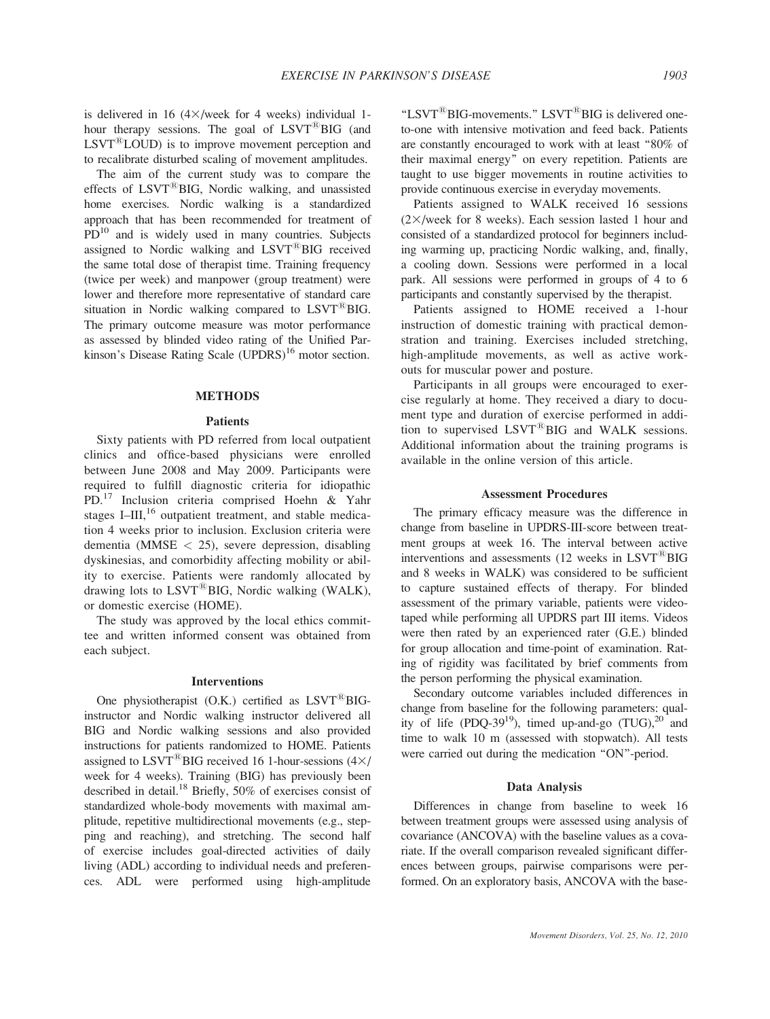is delivered in 16  $(4 \times$ /week for 4 weeks) individual 1hour therapy sessions. The goal of  $LSVT^{\mathcal{B}}BIG$  (and  $LSVT^{\&}LOUD$  is to improve movement perception and to recalibrate disturbed scaling of movement amplitudes.

The aim of the current study was to compare the effects of LSVT<sup>®</sup>BIG, Nordic walking, and unassisted home exercises. Nordic walking is a standardized approach that has been recommended for treatment of  $PD<sup>10</sup>$  and is widely used in many countries. Subjects assigned to Nordic walking and  $LSVT^{\circledR}BIG$  received the same total dose of therapist time. Training frequency (twice per week) and manpower (group treatment) were lower and therefore more representative of standard care situation in Nordic walking compared to  $LSVT^{\circledR}BIG$ . The primary outcome measure was motor performance as assessed by blinded video rating of the Unified Parkinson's Disease Rating Scale  $(UPDRS)^{16}$  motor section.

## **METHODS**

# Patients

Sixty patients with PD referred from local outpatient clinics and office-based physicians were enrolled between June 2008 and May 2009. Participants were required to fulfill diagnostic criteria for idiopathic PD.<sup>17</sup> Inclusion criteria comprised Hoehn & Yahr stages I–III, $^{16}$  outpatient treatment, and stable medication 4 weeks prior to inclusion. Exclusion criteria were dementia (MMSE  $<$  25), severe depression, disabling dyskinesias, and comorbidity affecting mobility or ability to exercise. Patients were randomly allocated by drawing lots to  $LSVT^{\circledR}BIG$ , Nordic walking (WALK), or domestic exercise (HOME).

The study was approved by the local ethics committee and written informed consent was obtained from each subject.

## Interventions

One physiotherapist  $(0.K.)$  certified as  $LSVT^{\tiny{\textcircled{\tiny{R}}}}BG$ instructor and Nordic walking instructor delivered all BIG and Nordic walking sessions and also provided instructions for patients randomized to HOME. Patients assigned to LSVT<sup>®</sup>BIG received 16 1-hour-sessions  $(4\times)$ week for 4 weeks). Training (BIG) has previously been described in detail.<sup>18</sup> Briefly, 50% of exercises consist of standardized whole-body movements with maximal amplitude, repetitive multidirectional movements (e.g., stepping and reaching), and stretching. The second half of exercise includes goal-directed activities of daily living (ADL) according to individual needs and preferences. ADL were performed using high-amplitude "LSVT ${}^{\circ}\text{BIG-movements." }$  LSVT ${}^{\circ}\text{BIG}$  is delivered oneto-one with intensive motivation and feed back. Patients are constantly encouraged to work with at least ''80% of their maximal energy'' on every repetition. Patients are taught to use bigger movements in routine activities to provide continuous exercise in everyday movements.

Patients assigned to WALK received 16 sessions  $(2\times$ /week for 8 weeks). Each session lasted 1 hour and consisted of a standardized protocol for beginners including warming up, practicing Nordic walking, and, finally, a cooling down. Sessions were performed in a local park. All sessions were performed in groups of 4 to 6 participants and constantly supervised by the therapist.

Patients assigned to HOME received a 1-hour instruction of domestic training with practical demonstration and training. Exercises included stretching, high-amplitude movements, as well as active workouts for muscular power and posture.

Participants in all groups were encouraged to exercise regularly at home. They received a diary to document type and duration of exercise performed in addition to supervised  $LSVT^@BIG$  and WALK sessions. Additional information about the training programs is available in the online version of this article.

## Assessment Procedures

The primary efficacy measure was the difference in change from baseline in UPDRS-III-score between treatment groups at week 16. The interval between active interventions and assessments  $(12 \text{ weeks in } \text{LSVT}^{\textcircled{\tiny{B}}}\text{BIG})$ and 8 weeks in WALK) was considered to be sufficient to capture sustained effects of therapy. For blinded assessment of the primary variable, patients were videotaped while performing all UPDRS part III items. Videos were then rated by an experienced rater (G.E.) blinded for group allocation and time-point of examination. Rating of rigidity was facilitated by brief comments from the person performing the physical examination.

Secondary outcome variables included differences in change from baseline for the following parameters: quality of life (PDQ-39<sup>19</sup>), timed up-and-go  $(TUG),^{20}$  and time to walk 10 m (assessed with stopwatch). All tests were carried out during the medication "ON"-period.

## Data Analysis

Differences in change from baseline to week 16 between treatment groups were assessed using analysis of covariance (ANCOVA) with the baseline values as a covariate. If the overall comparison revealed significant differences between groups, pairwise comparisons were performed. On an exploratory basis, ANCOVA with the base-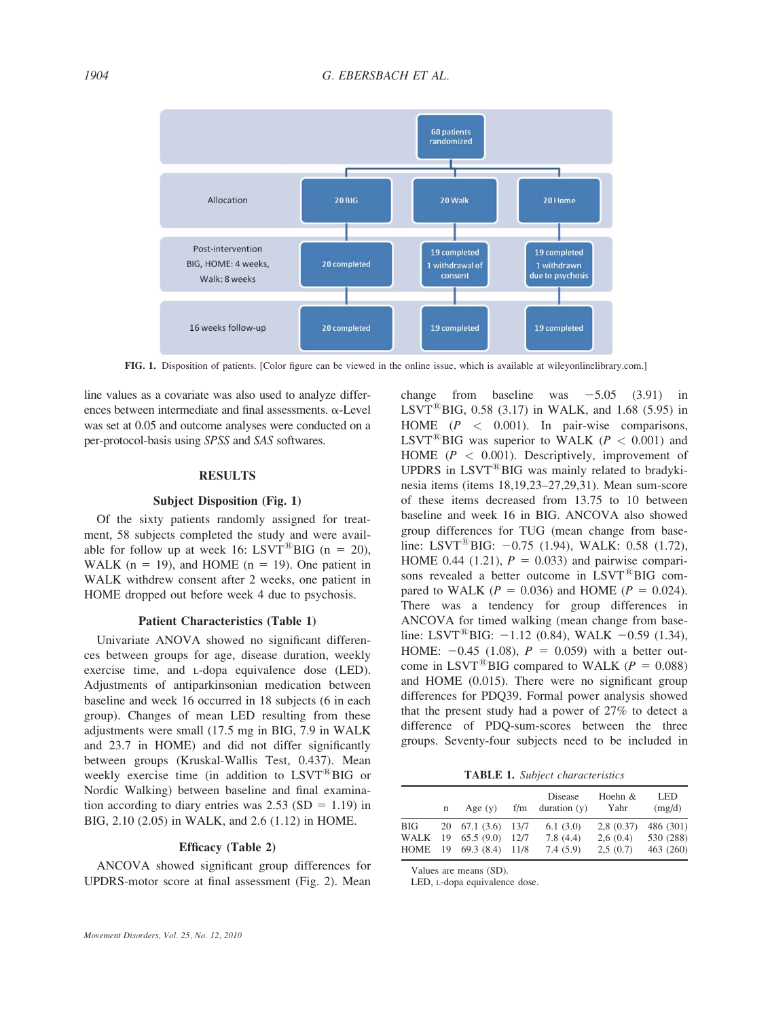

FIG. 1. Disposition of patients. [Color figure can be viewed in the online issue, which is available at wileyonlinelibrary.com.]

line values as a covariate was also used to analyze differences between intermediate and final assessments.  $\alpha$ -Level was set at 0.05 and outcome analyses were conducted on a per-protocol-basis using SPSS and SAS softwares.

# RESULTS

## Subject Disposition (Fig. 1)

Of the sixty patients randomly assigned for treatment, 58 subjects completed the study and were available for follow up at week 16: LSVT<sup>®</sup>BIG (n = 20), WALK ( $n = 19$ ), and HOME ( $n = 19$ ). One patient in WALK withdrew consent after 2 weeks, one patient in HOME dropped out before week 4 due to psychosis.

# Patient Characteristics (Table 1)

Univariate ANOVA showed no significant differences between groups for age, disease duration, weekly exercise time, and L-dopa equivalence dose (LED). Adjustments of antiparkinsonian medication between baseline and week 16 occurred in 18 subjects (6 in each group). Changes of mean LED resulting from these adjustments were small (17.5 mg in BIG, 7.9 in WALK and 23.7 in HOME) and did not differ significantly between groups (Kruskal-Wallis Test, 0.437). Mean weekly exercise time (in addition to  $LSVT^@BIG$  or Nordic Walking) between baseline and final examination according to diary entries was  $2.53$  (SD = 1.19) in BIG, 2.10 (2.05) in WALK, and 2.6 (1.12) in HOME.

## Efficacy (Table 2)

ANCOVA showed significant group differences for UPDRS-motor score at final assessment (Fig. 2). Mean change from baseline was  $-5.05$  (3.91) in LSVT<sup>®</sup>BIG, 0.58 (3.17) in WALK, and 1.68 (5.95) in HOME  $(P < 0.001)$ . In pair-wise comparisons, LSVT<sup>®</sup>BIG was superior to WALK ( $P < 0.001$ ) and HOME ( $P < 0.001$ ). Descriptively, improvement of UPDRS in  $LSVT^{\&}BIG$  was mainly related to bradykinesia items (items 18,19,23–27,29,31). Mean sum-score of these items decreased from 13.75 to 10 between baseline and week 16 in BIG. ANCOVA also showed group differences for TUG (mean change from baseline: LSVT<sup>®</sup>BIG:  $-0.75$  (1.94), WALK: 0.58 (1.72), HOME 0.44 (1.21),  $P = 0.033$ ) and pairwise comparisons revealed a better outcome in  $LSVT^@BIG$  compared to WALK ( $P = 0.036$ ) and HOME ( $P = 0.024$ ). There was a tendency for group differences in ANCOVA for timed walking (mean change from baseline: LSVT<sup>®</sup>BIG:  $-1.12$  (0.84), WALK  $-0.59$  (1.34), HOME:  $-0.45$  (1.08),  $P = 0.059$ ) with a better outcome in LSVT<sup>®</sup>BIG compared to WALK ( $P = 0.088$ ) and HOME (0.015). There were no significant group differences for PDQ39. Formal power analysis showed that the present study had a power of 27% to detect a difference of PDQ-sum-scores between the three groups. Seventy-four subjects need to be included in

TABLE 1. Subject characteristics

|                     | n | Age $(y)$                                                        | f/m          | Disease<br>duration $(y)$        | Hoehn &<br>Yahr                   | LED<br>(mg/d)                       |
|---------------------|---|------------------------------------------------------------------|--------------|----------------------------------|-----------------------------------|-------------------------------------|
| BIG<br>WALK<br>HOME |   | 20 67.1 (3.6) 13/7<br>$19$ 65.5 (9.0)<br>$19 \quad 69.3 \ (8.4)$ | 12/7<br>11/8 | 6.1(3.0)<br>7.8(4.4)<br>7.4(5.9) | 2,8(0.37)<br>2,6(0.4)<br>2,5(0.7) | 486 (301)<br>530 (288)<br>463 (260) |

Values are means (SD).

LED, L-dopa equivalence dose.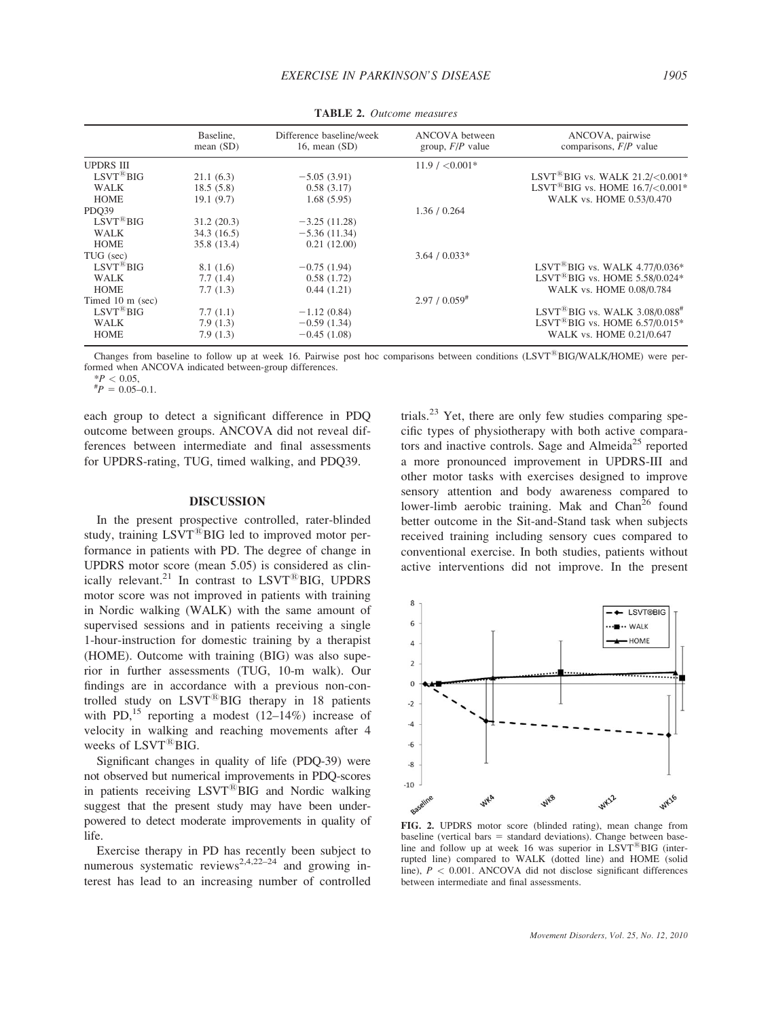|                         | Baseline,<br>mean $(SD)$ | Difference baseline/week<br>16, mean $(SD)$ | ANCOVA between<br>group, $F/P$ value | ANCOVA, pairwise<br>comparisons, $F/P$ value                                                  |
|-------------------------|--------------------------|---------------------------------------------|--------------------------------------|-----------------------------------------------------------------------------------------------|
| <b>UPDRS III</b>        |                          |                                             | $11.9 / < 0.001*$                    |                                                                                               |
| $LSYT^{\circledR}BIG$   | 21.1(6.3)                | $-5.05(3.91)$                               |                                      | LSVT <sup>®</sup> BIG vs. WALK 21.2/<0.001 <sup>*</sup>                                       |
| <b>WALK</b>             | 18.5(5.8)                | 0.58(3.17)                                  |                                      | LSVT <sup><sup>R</sup>BIG vs. HOME <math>16.7</math>/<math>&lt;</math>0.001<sup>*</sup></sup> |
| <b>HOME</b>             | 19.1(9.7)                | 1.68(5.95)                                  |                                      | WALK vs. HOME 0.53/0.470                                                                      |
| PDO39                   |                          |                                             | 1.36 / 0.264                         |                                                                                               |
| $LSVT^{\circledR}BIG$   | 31.2(20.3)               | $-3.25(11.28)$                              |                                      |                                                                                               |
| <b>WALK</b>             | 34.3(16.5)               | $-5.36(11.34)$                              |                                      |                                                                                               |
| <b>HOME</b>             | 35.8 (13.4)              | 0.21(12.00)                                 |                                      |                                                                                               |
| TUG (sec)               |                          |                                             | $3.64 / 0.033*$                      |                                                                                               |
| $LSVT^{\mathcal{B}}BIG$ | 8.1(1.6)                 | $-0.75(1.94)$                               |                                      | LSVT <sup>®</sup> BIG vs. WALK 4.77/0.036*                                                    |
| <b>WALK</b>             | 7.7(1.4)                 | 0.58(1.72)                                  |                                      | LSVT <sup>®</sup> BIG vs. HOME 5.58/0.024*                                                    |
| <b>HOME</b>             | 7.7(1.3)                 | 0.44(1.21)                                  |                                      | WALK vs. HOME 0.08/0.784                                                                      |
| Timed 10 m (sec)        |                          |                                             | $2.97 / 0.059$ <sup>#</sup>          |                                                                                               |
| $LSVT^{\mathcal{B}}BIG$ | 7.7(1.1)                 | $-1.12(0.84)$                               |                                      | $LSVT^{(8)}BIG$ vs. WALK 3.08/0.088 <sup>#</sup>                                              |
| <b>WALK</b>             | 7.9(1.3)                 | $-0.59(1.34)$                               |                                      | LSVT <sup>®</sup> BIG vs. HOME $6.57/0.015*$                                                  |
| <b>HOME</b>             | 7.9(1.3)                 | $-0.45(1.08)$                               |                                      | WALK vs. HOME 0.21/0.647                                                                      |

TABLE 2. Outcome measures

Changes from baseline to follow up at week 16. Pairwise post hoc comparisons between conditions (LSVT<sup>®</sup>BIG/WALK/HOME) were performed when ANCOVA indicated between-group differences.

 $*P < 0.05$ ,<br>  $*P = 0.05 - 0.1$ .

each group to detect a significant difference in PDQ outcome between groups. ANCOVA did not reveal differences between intermediate and final assessments for UPDRS-rating, TUG, timed walking, and PDQ39.

## DISCUSSION

In the present prospective controlled, rater-blinded study, training LSVT<sup>®</sup>BIG led to improved motor performance in patients with PD. The degree of change in UPDRS motor score (mean 5.05) is considered as clinically relevant.<sup>21</sup> In contrast to  $LSVT^@BIG$ , UPDRS motor score was not improved in patients with training in Nordic walking (WALK) with the same amount of supervised sessions and in patients receiving a single 1-hour-instruction for domestic training by a therapist (HOME). Outcome with training (BIG) was also superior in further assessments (TUG, 10-m walk). Our findings are in accordance with a previous non-controlled study on  $LSVT^{\circledR}BIG$  therapy in 18 patients with PD,<sup>15</sup> reporting a modest  $(12-14\%)$  increase of velocity in walking and reaching movements after 4 weeks of LSVT<sup>®</sup>BIG.

Significant changes in quality of life (PDQ-39) were not observed but numerical improvements in PDQ-scores in patients receiving  $LSVT^{\&}BIG$  and Nordic walking suggest that the present study may have been underpowered to detect moderate improvements in quality of life.

Exercise therapy in PD has recently been subject to numerous systematic reviews<sup>2,4,22–24</sup> and growing interest has lead to an increasing number of controlled trials.<sup>23</sup> Yet, there are only few studies comparing specific types of physiotherapy with both active comparators and inactive controls. Sage and Almeida<sup>25</sup> reported a more pronounced improvement in UPDRS-III and other motor tasks with exercises designed to improve sensory attention and body awareness compared to lower-limb aerobic training. Mak and  $Chan<sup>26</sup>$  found better outcome in the Sit-and-Stand task when subjects received training including sensory cues compared to conventional exercise. In both studies, patients without active interventions did not improve. In the present



FIG. 2. UPDRS motor score (blinded rating), mean change from  $b$ aseline (vertical bars  $=$  standard deviations). Change between baseline and follow up at week 16 was superior in  $LSVT^{18}BIG$  (interrupted line) compared to WALK (dotted line) and HOME (solid line),  $P < 0.001$ . ANCOVA did not disclose significant differences between intermediate and final assessments.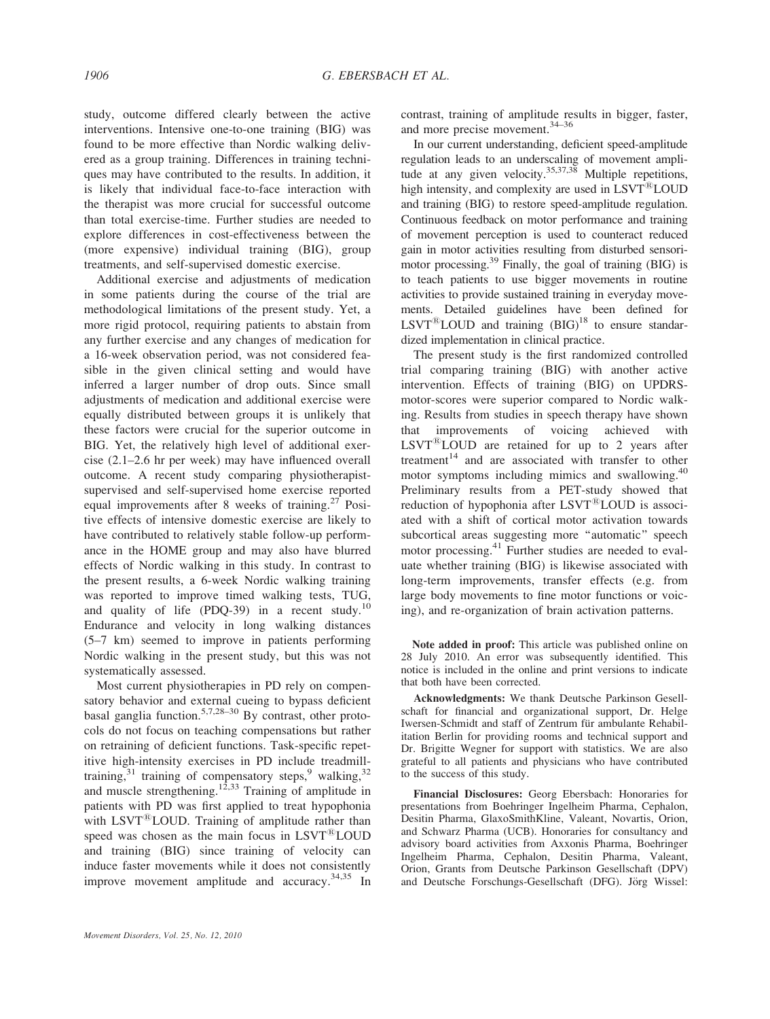study, outcome differed clearly between the active interventions. Intensive one-to-one training (BIG) was found to be more effective than Nordic walking delivered as a group training. Differences in training techniques may have contributed to the results. In addition, it is likely that individual face-to-face interaction with the therapist was more crucial for successful outcome than total exercise-time. Further studies are needed to explore differences in cost-effectiveness between the (more expensive) individual training (BIG), group treatments, and self-supervised domestic exercise.

Additional exercise and adjustments of medication in some patients during the course of the trial are methodological limitations of the present study. Yet, a more rigid protocol, requiring patients to abstain from any further exercise and any changes of medication for a 16-week observation period, was not considered feasible in the given clinical setting and would have inferred a larger number of drop outs. Since small adjustments of medication and additional exercise were equally distributed between groups it is unlikely that these factors were crucial for the superior outcome in BIG. Yet, the relatively high level of additional exercise (2.1–2.6 hr per week) may have influenced overall outcome. A recent study comparing physiotherapistsupervised and self-supervised home exercise reported equal improvements after 8 weeks of training. $27$  Positive effects of intensive domestic exercise are likely to have contributed to relatively stable follow-up performance in the HOME group and may also have blurred effects of Nordic walking in this study. In contrast to the present results, a 6-week Nordic walking training was reported to improve timed walking tests, TUG, and quality of life (PDQ-39) in a recent study.<sup>10</sup> Endurance and velocity in long walking distances (5–7 km) seemed to improve in patients performing Nordic walking in the present study, but this was not systematically assessed.

Most current physiotherapies in PD rely on compensatory behavior and external cueing to bypass deficient basal ganglia function.<sup>5,7,28–30</sup> By contrast, other protocols do not focus on teaching compensations but rather on retraining of deficient functions. Task-specific repetitive high-intensity exercises in PD include treadmilltraining,  $31$  training of compensatory steps,  $9$  walking,  $32$ and muscle strengthening.<sup>12,33</sup> Training of amplitude in patients with PD was first applied to treat hypophonia with  $LSVT^{\&}LOUD$ . Training of amplitude rather than speed was chosen as the main focus in  $LSVT^{\&}LOUD$ and training (BIG) since training of velocity can induce faster movements while it does not consistently improve movement amplitude and accuracy.  $34,35$  In

Movement Disorders, Vol. 25, No. 12, 2010

contrast, training of amplitude results in bigger, faster, and more precise movement.<sup>34-36</sup>

In our current understanding, deficient speed-amplitude regulation leads to an underscaling of movement amplitude at any given velocity.<sup>35,37,38</sup> Multiple repetitions, high intensity, and complexity are used in  $LSVT^{\&}LOUD$ and training (BIG) to restore speed-amplitude regulation. Continuous feedback on motor performance and training of movement perception is used to counteract reduced gain in motor activities resulting from disturbed sensorimotor processing.39 Finally, the goal of training (BIG) is to teach patients to use bigger movements in routine activities to provide sustained training in everyday movements. Detailed guidelines have been defined for  $LSVT^{\&}LOUD$  and training  $(BIG)^{18}$  to ensure standardized implementation in clinical practice.

The present study is the first randomized controlled trial comparing training (BIG) with another active intervention. Effects of training (BIG) on UPDRSmotor-scores were superior compared to Nordic walking. Results from studies in speech therapy have shown that improvements of voicing achieved with  $LSVT^{(R)}$ LOUD are retained for up to 2 years after treatment<sup>14</sup> and are associated with transfer to other motor symptoms including mimics and swallowing.<sup>40</sup> Preliminary results from a PET-study showed that reduction of hypophonia after  $LSVT^{\mathcal{B}}$ LOUD is associated with a shift of cortical motor activation towards subcortical areas suggesting more ''automatic'' speech motor processing.<sup>41</sup> Further studies are needed to evaluate whether training (BIG) is likewise associated with long-term improvements, transfer effects (e.g. from large body movements to fine motor functions or voicing), and re-organization of brain activation patterns.

Note added in proof: This article was published online on 28 July 2010. An error was subsequently identified. This notice is included in the online and print versions to indicate that both have been corrected.

Acknowledgments: We thank Deutsche Parkinson Gesellschaft for financial and organizational support, Dr. Helge Iwersen-Schmidt and staff of Zentrum für ambulante Rehabilitation Berlin for providing rooms and technical support and Dr. Brigitte Wegner for support with statistics. We are also grateful to all patients and physicians who have contributed to the success of this study.

Financial Disclosures: Georg Ebersbach: Honoraries for presentations from Boehringer Ingelheim Pharma, Cephalon, Desitin Pharma, GlaxoSmithKline, Valeant, Novartis, Orion, and Schwarz Pharma (UCB). Honoraries for consultancy and advisory board activities from Axxonis Pharma, Boehringer Ingelheim Pharma, Cephalon, Desitin Pharma, Valeant, Orion, Grants from Deutsche Parkinson Gesellschaft (DPV) and Deutsche Forschungs-Gesellschaft (DFG). Jörg Wissel: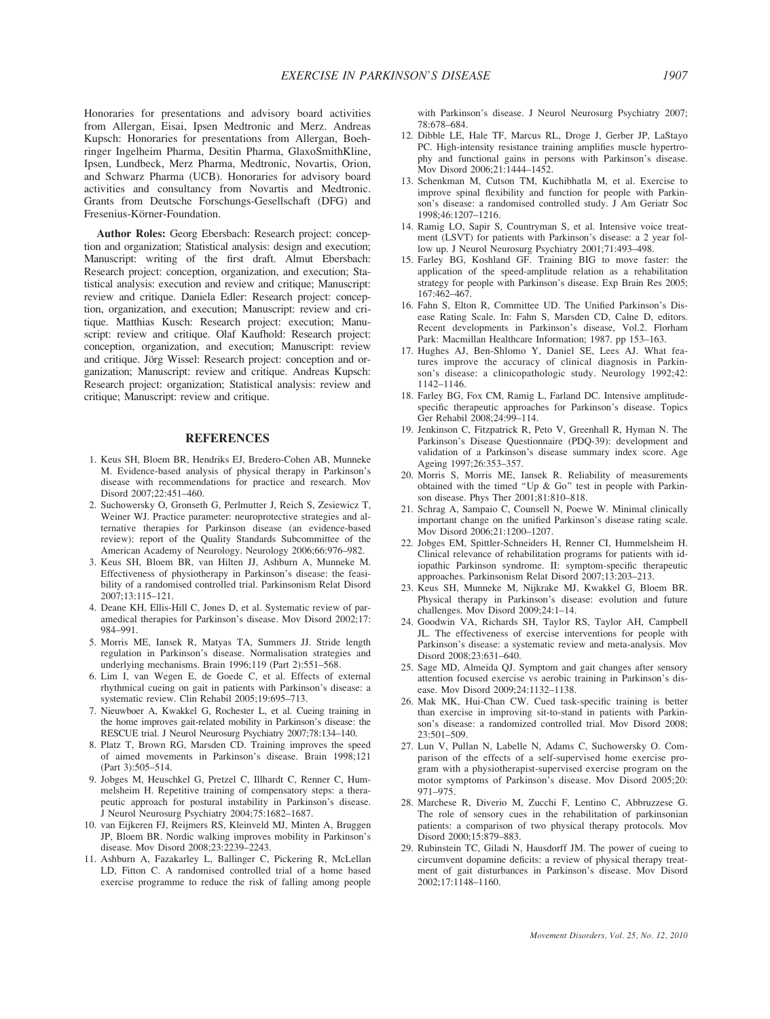Honoraries for presentations and advisory board activities from Allergan, Eisai, Ipsen Medtronic and Merz. Andreas Kupsch: Honoraries for presentations from Allergan, Boehringer Ingelheim Pharma, Desitin Pharma, GlaxoSmithKline, Ipsen, Lundbeck, Merz Pharma, Medtronic, Novartis, Orion, and Schwarz Pharma (UCB). Honoraries for advisory board activities and consultancy from Novartis and Medtronic. Grants from Deutsche Forschungs-Gesellschaft (DFG) and Fresenius-Körner-Foundation.

Author Roles: Georg Ebersbach: Research project: conception and organization; Statistical analysis: design and execution; Manuscript: writing of the first draft. Almut Ebersbach: Research project: conception, organization, and execution; Statistical analysis: execution and review and critique; Manuscript: review and critique. Daniela Edler: Research project: conception, organization, and execution; Manuscript: review and critique. Matthias Kusch: Research project: execution; Manuscript: review and critique. Olaf Kaufhold: Research project: conception, organization, and execution; Manuscript: review and critique. Jörg Wissel: Research project: conception and organization; Manuscript: review and critique. Andreas Kupsch: Research project: organization; Statistical analysis: review and critique; Manuscript: review and critique.

## **REFERENCES**

- 1. Keus SH, Bloem BR, Hendriks EJ, Bredero-Cohen AB, Munneke M. Evidence-based analysis of physical therapy in Parkinson's disease with recommendations for practice and research. Mov Disord 2007;22:451–460.
- 2. Suchowersky O, Gronseth G, Perlmutter J, Reich S, Zesiewicz T, Weiner WJ. Practice parameter: neuroprotective strategies and alternative therapies for Parkinson disease (an evidence-based review): report of the Quality Standards Subcommittee of the American Academy of Neurology. Neurology 2006;66:976–982.
- 3. Keus SH, Bloem BR, van Hilten JJ, Ashburn A, Munneke M. Effectiveness of physiotherapy in Parkinson's disease: the feasibility of a randomised controlled trial. Parkinsonism Relat Disord 2007;13:115–121.
- 4. Deane KH, Ellis-Hill C, Jones D, et al. Systematic review of paramedical therapies for Parkinson's disease. Mov Disord 2002;17: 984–991.
- 5. Morris ME, Iansek R, Matyas TA, Summers JJ. Stride length regulation in Parkinson's disease. Normalisation strategies and underlying mechanisms. Brain 1996;119 (Part 2):551–568.
- 6. Lim I, van Wegen E, de Goede C, et al. Effects of external rhythmical cueing on gait in patients with Parkinson's disease: a systematic review. Clin Rehabil 2005;19:695–713.
- 7. Nieuwboer A, Kwakkel G, Rochester L, et al. Cueing training in the home improves gait-related mobility in Parkinson's disease: the RESCUE trial. J Neurol Neurosurg Psychiatry 2007;78:134–140.
- 8. Platz T, Brown RG, Marsden CD. Training improves the speed of aimed movements in Parkinson's disease. Brain 1998;121 (Part 3):505–514.
- 9. Jobges M, Heuschkel G, Pretzel C, Illhardt C, Renner C, Hummelsheim H. Repetitive training of compensatory steps: a therapeutic approach for postural instability in Parkinson's disease. J Neurol Neurosurg Psychiatry 2004;75:1682–1687.
- 10. van Eijkeren FJ, Reijmers RS, Kleinveld MJ, Minten A, Bruggen JP, Bloem BR. Nordic walking improves mobility in Parkinson's disease. Mov Disord 2008;23:2239–2243.
- 11. Ashburn A, Fazakarley L, Ballinger C, Pickering R, McLellan LD, Fitton C. A randomised controlled trial of a home based exercise programme to reduce the risk of falling among people

with Parkinson's disease. J Neurol Neurosurg Psychiatry 2007; 78:678–684.

- 12. Dibble LE, Hale TF, Marcus RL, Droge J, Gerber JP, LaStayo PC. High-intensity resistance training amplifies muscle hypertrophy and functional gains in persons with Parkinson's disease. Mov Disord 2006;21:1444–1452.
- 13. Schenkman M, Cutson TM, Kuchibhatla M, et al. Exercise to improve spinal flexibility and function for people with Parkinson's disease: a randomised controlled study. J Am Geriatr Soc 1998;46:1207–1216.
- 14. Ramig LO, Sapir S, Countryman S, et al. Intensive voice treatment (LSVT) for patients with Parkinson's disease: a 2 year follow up. J Neurol Neurosurg Psychiatry 2001;71:493-498.
- 15. Farley BG, Koshland GF. Training BIG to move faster: the application of the speed-amplitude relation as a rehabilitation strategy for people with Parkinson's disease. Exp Brain Res 2005; 167:462–467.
- 16. Fahn S, Elton R, Committee UD. The Unified Parkinson's Disease Rating Scale. In: Fahn S, Marsden CD, Calne D, editors. Recent developments in Parkinson's disease, Vol.2. Florham Park: Macmillan Healthcare Information; 1987. pp 153–163.
- 17. Hughes AJ, Ben-Shlomo Y, Daniel SE, Lees AJ. What features improve the accuracy of clinical diagnosis in Parkinson's disease: a clinicopathologic study. Neurology 1992;42: 1142–1146.
- 18. Farley BG, Fox CM, Ramig L, Farland DC. Intensive amplitudespecific therapeutic approaches for Parkinson's disease. Topics Ger Rehabil 2008;24:99–114.
- 19. Jenkinson C, Fitzpatrick R, Peto V, Greenhall R, Hyman N. The Parkinson's Disease Questionnaire (PDQ-39): development and validation of a Parkinson's disease summary index score. Age Ageing 1997;26:353–357.
- 20. Morris S, Morris ME, Iansek R. Reliability of measurements obtained with the timed ''Up & Go'' test in people with Parkinson disease. Phys Ther 2001;81:810–818.
- 21. Schrag A, Sampaio C, Counsell N, Poewe W. Minimal clinically important change on the unified Parkinson's disease rating scale. Mov Disord 2006;21:1200–1207.
- 22. Jobges EM, Spittler-Schneiders H, Renner CI, Hummelsheim H. Clinical relevance of rehabilitation programs for patients with idiopathic Parkinson syndrome. II: symptom-specific therapeutic approaches. Parkinsonism Relat Disord 2007;13:203–213.
- 23. Keus SH, Munneke M, Nijkrake MJ, Kwakkel G, Bloem BR. Physical therapy in Parkinson's disease: evolution and future challenges. Mov Disord 2009;24:1–14.
- 24. Goodwin VA, Richards SH, Taylor RS, Taylor AH, Campbell JL. The effectiveness of exercise interventions for people with Parkinson's disease: a systematic review and meta-analysis. Mov Disord 2008;23:631–640.
- 25. Sage MD, Almeida QJ. Symptom and gait changes after sensory attention focused exercise vs aerobic training in Parkinson's disease. Mov Disord 2009;24:1132–1138.
- 26. Mak MK, Hui-Chan CW. Cued task-specific training is better than exercise in improving sit-to-stand in patients with Parkinson's disease: a randomized controlled trial. Mov Disord 2008; 23:501–509.
- 27. Lun V, Pullan N, Labelle N, Adams C, Suchowersky O. Comparison of the effects of a self-supervised home exercise program with a physiotherapist-supervised exercise program on the motor symptoms of Parkinson's disease. Mov Disord 2005;20: 971–975.
- 28. Marchese R, Diverio M, Zucchi F, Lentino C, Abbruzzese G. The role of sensory cues in the rehabilitation of parkinsonian patients: a comparison of two physical therapy protocols. Mov Disord 2000;15:879–883.
- 29. Rubinstein TC, Giladi N, Hausdorff JM. The power of cueing to circumvent dopamine deficits: a review of physical therapy treatment of gait disturbances in Parkinson's disease. Mov Disord 2002;17:1148–1160.